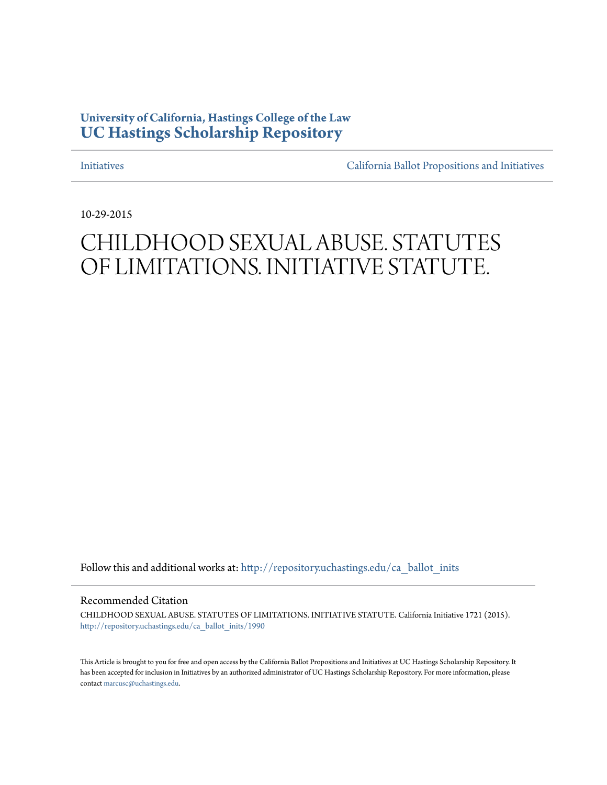# **University of California, Hastings College of the Law [UC Hastings Scholarship Repository](http://repository.uchastings.edu?utm_source=repository.uchastings.edu%2Fca_ballot_inits%2F1990&utm_medium=PDF&utm_campaign=PDFCoverPages)**

[Initiatives](http://repository.uchastings.edu/ca_ballot_inits?utm_source=repository.uchastings.edu%2Fca_ballot_inits%2F1990&utm_medium=PDF&utm_campaign=PDFCoverPages) [California Ballot Propositions and Initiatives](http://repository.uchastings.edu/ca_ballots?utm_source=repository.uchastings.edu%2Fca_ballot_inits%2F1990&utm_medium=PDF&utm_campaign=PDFCoverPages)

10-29-2015

# CHILDHOOD SEXUAL ABUSE. STATUTES OF LIMITATIONS. INITIATIVE STATUTE.

Follow this and additional works at: [http://repository.uchastings.edu/ca\\_ballot\\_inits](http://repository.uchastings.edu/ca_ballot_inits?utm_source=repository.uchastings.edu%2Fca_ballot_inits%2F1990&utm_medium=PDF&utm_campaign=PDFCoverPages)

Recommended Citation

CHILDHOOD SEXUAL ABUSE. STATUTES OF LIMITATIONS. INITIATIVE STATUTE. California Initiative 1721 (2015). [http://repository.uchastings.edu/ca\\_ballot\\_inits/1990](http://repository.uchastings.edu/ca_ballot_inits/1990?utm_source=repository.uchastings.edu%2Fca_ballot_inits%2F1990&utm_medium=PDF&utm_campaign=PDFCoverPages)

This Article is brought to you for free and open access by the California Ballot Propositions and Initiatives at UC Hastings Scholarship Repository. It has been accepted for inclusion in Initiatives by an authorized administrator of UC Hastings Scholarship Repository. For more information, please contact [marcusc@uchastings.edu](mailto:marcusc@uchastings.edu).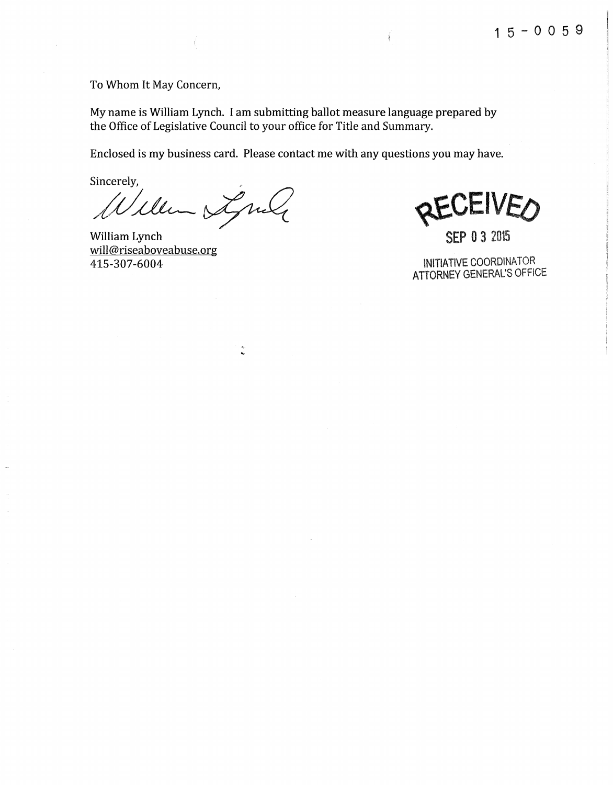To Whom It May Concern,

My name is William Lynch. I am submitting ballot measure language prepared by the Office of Legislative Council to your office for Title and Summary.

í

Enclosed is my business card. Please contact me with any questions you may have.

Sincerely,

Illen Synde

..

William Lynch will@riseaboveabuse.org 415-307-6004

SEP 0 3 2015

INITIATIVE COORDINATOR ATTORNEY GENERAL'S OFFICE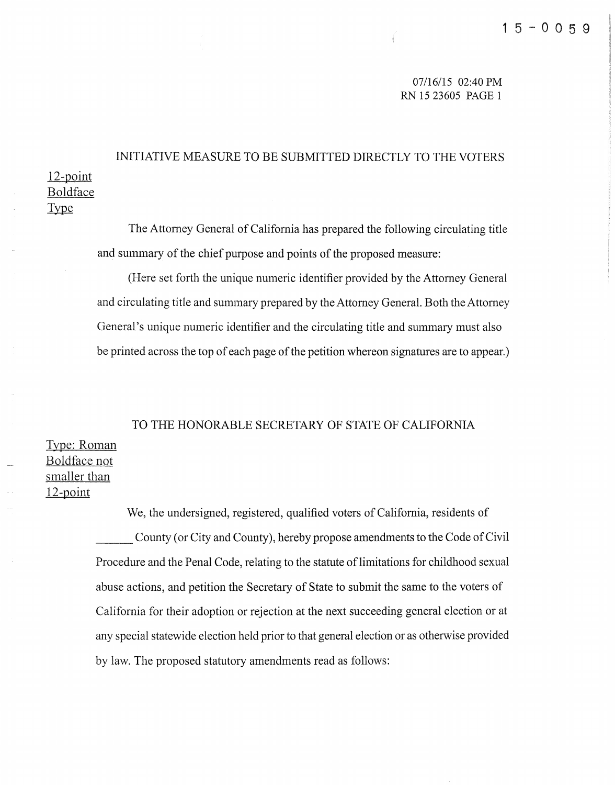# 12-point Boldface INITIATIVE MEASURE TO BE SUBMITTED DIRECTLY TO THE VOTERS

Type

The Attorney General of California has prepared the following circulating title and summary of the chief purpose and points of the proposed measure:

(Here set forth the unique numeric identifier provided by the Attorney General and circulating title and summary prepared by the Attorney General. Both the Attorney General's unique numeric identifier and the circulating title and summary must also be printed across the top of each page of the petition whereon signatures are to appear.)

TO THE HONORABLE SECRETARY OF STATE OF CALIFORNIA Type: Roman Boldface not smaller than 12-point

> We, the undersigned, registered, qualified voters of California, residents of County (or City and County), hereby propose amendments to the Code of Civil Procedure and the Penal Code, relating to the statute of limitations for childhood sexual abuse actions, and petition the Secretary of State to submit the same to the voters of California for their adoption or rejection at the next succeeding general election or at any special statewide election held prior to that general election or as otherwise provided by law. The proposed statutory amendments read as follows: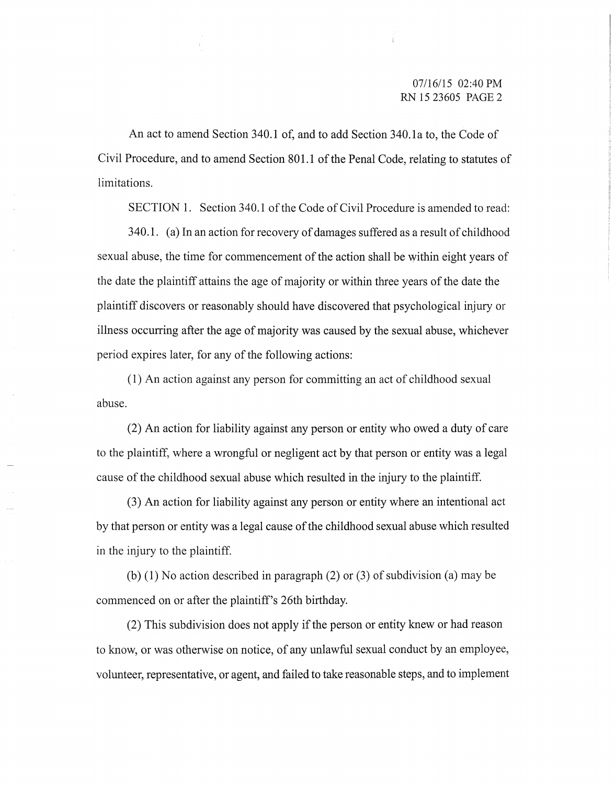An act to amend Section 340.1 of, and to add Section 340.1a to, the Code of Civil Procedure, and to amend Section 801.1 of the Penal Code, relating to statutes of limitations.

SECTION 1. Section 340.1 of the Code of Civil Procedure is amended to read:

340 .1. (a) In an action for recovery of damages suffered as a result of childhood sexual abuse, the time for commencement of the action shall be within eight years of the date the plaintiff attains the age of majority or within three years of the date the plaintiff discovers or reasonably should have discovered that psychological injury or illness occurring after the age of majority was caused by the sexual abuse, whichever period expires later, for any of the following actions:

( 1) An action against any person for committing an act of childhood sexual abuse.

(2) An action for liability against any person or entity who owed a duty of care to the plaintiff, where a wrongful or negligent act by that person or entity was a legal cause of the childhood sexual abuse which resulted in the injury to the plaintiff.

(3) An action for liability against any person or entity where an intentional act by that person or entity was a legal cause of the childhood sexual abuse which resulted in the injury to the plaintiff.

(b) (1) No action described in paragraph (2) or (3) of subdivision (a) may be commenced on or after the plaintiff's 26th birthday.

(2) This subdivision does not apply if the person or entity knew or had reason to know, or was otherwise on notice, of any unlawful sexual conduct by an employee, vohmteer, representative, or agent, and failed to take reasonable steps, and to implement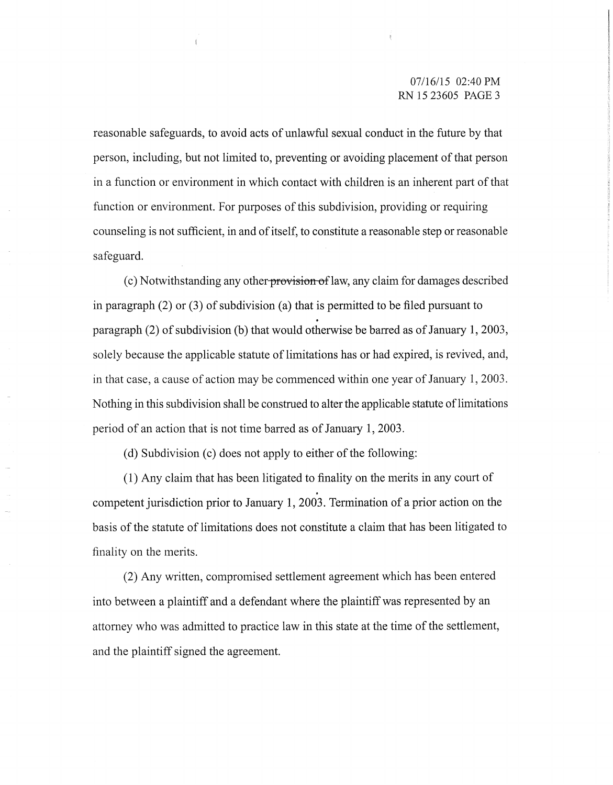reasonable safeguards, to avoid acts of unlawful sexual conduct in the future by that person, including, but not limited to, preventing or avoiding placement of that person in a function or environment in which contact with children is an inherent part of that function or environment. For purposes of this subdivision, providing or requiring counseling is not sufficient, in and of itself, to constitute a reasonable step or reasonable safeguard.

 $\hat{L}$ 

(c) Notwithstanding any other provision of law, any claim for damages described in paragraph (2) or (3) of subdivision (a) that is permitted to be filed pursuant to paragraph (2) of subdivision (b) that would otherwise be barred as of January 1, 2003, solely because the applicable statute of limitations has or had expired, is revived, and, in that case, a cause of action may be commenced within one year of January 1, 2003. Nothing in this subdivision shall be construed to alter the applicable statute of limitations period of an action that is not time barred as of January 1, 2003.

(d) Subdivision (c) does not apply to either of the following:

( 1) Any claim that has been litigated to finality on the merits in any court of . competent jurisdiction prior to January 1, 2003. Termination of a prior action on the basis of the statute of limitations does not constitute a claim that has been litigated to finality on the merits.

(2) Any written, compromised settlement agreement which has been entered into between a plaintiff and a defendant where the plaintiff was represented by an attorney who was admitted to practice law in this state at the time of the settlement, and the plaintiff signed the agreement.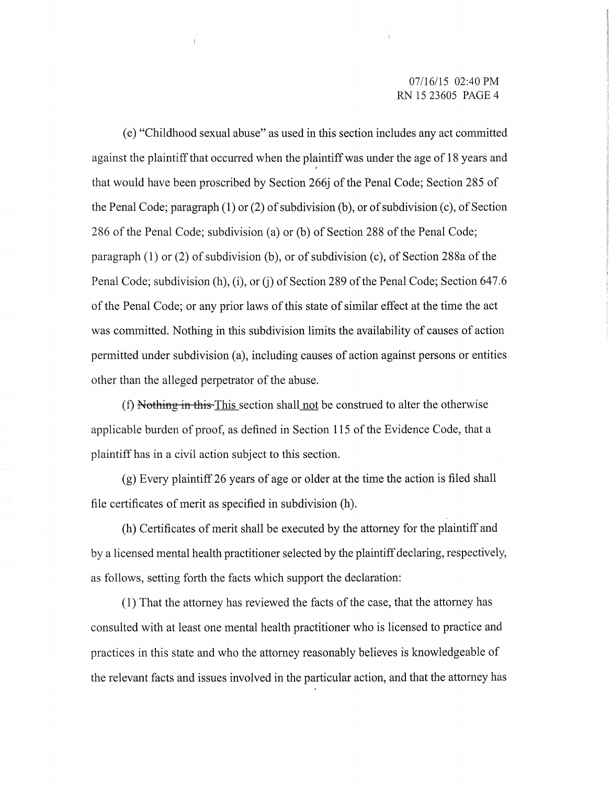(e) "Childhood sexual abuse" as used in this section includes any act committed against the plaintiff that occurred when the plaintiff was under the age of 18 years and that would have been proscribed by Section 266j of the Penal Code; Section 285 of the Penal Code; paragraph (1) or (2) of subdivision (b), or of subdivision (c), of Section 286 of the Penal Code; subdivision (a) or (b) of Section 288 of the Penal Code; paragraph (1) or (2) of subdivision (b), or of subdivision (c), of Section 288a of the Penal Code; subdivision (h), (i), or (j) of Section 289 of the Penal Code; Section 647.6 of the Penal Code; or any prior laws of this state of similar effect at the time the act was committed. Nothing in this subdivision limits the availability of causes of action permitted under subdivision (a), including causes of action against persons or entities other than the alleged perpetrator of the abuse.

 $\left\langle \right\rangle$ 

(f) Nothing in this This section shall not be construed to alter the otherwise applicable burden of proof, as defined in Section 115 of the Evidence Code, that a plaintiff has in a civil action subject to this section.

(g) Every plaintiff 26 years of age or older at the time the action is filed shall file certificates of merit as specified in subdivision (h).

(h) Certificates of merit shall be executed by the attorney for the plaintiff and by a licensed mental health practitioner selected by the plaintiff declaring, respectively, as follows, setting forth the facts which support the declaration:

( 1) That the attorney has reviewed the facts of the case, that the attorney has consulted with at least one mental health practitioner who is licensed to practice and practices in this state and who the attorney reasonably believes is knowledgeable of the relevant facts and issues involved in the particular action, and that the attorney has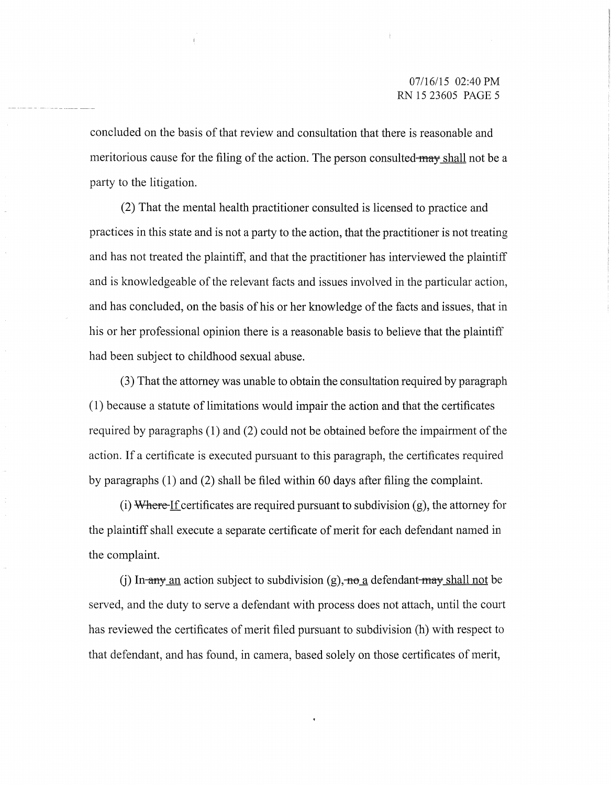concluded on the basis of that review and consultation that there is reasonable and meritorious cause for the filing of the action. The person consulted-may shall not be a party to the litigation.

(2) That the mental health practitioner consulted is licensed to practice and practices in this state and is not a party to the action, that the practitioner is not treating and has not treated the plaintiff, and that the practitioner has interviewed the plaintiff and is knowledgeable of the relevant facts and issues involved in the particular action, and has concluded, on the basis of his or her knowledge of the facts and issues, that in his or her professional opinion there is a reasonable basis to believe that the plaintiff had been subject to childhood sexual abuse.

(3) That the attorney was unable to obtain the consultation required by paragraph ( 1) because a statute of limitations would impair the action and that the certificates required by paragraphs (1) and (2) could not be obtained before the impairment of the action. If a certificate is executed pursuant to this paragraph, the certificates required by paragraphs (1) and (2) shall be filed within 60 days after filing the complaint.

(i) Where If certificates are required pursuant to subdivision  $(g)$ , the attorney for the plaintiff shall execute a separate certificate of merit for each defendant named in the complaint.

(j) In- $\frac{amy}{\text{an}}$  action subject to subdivision (g),  $\frac{ma}{\text{an}}$  defendant-may shall not be served, and the duty to serve a defendant with process does not attach, until the court has reviewed the certificates of merit filed pursuant to subdivision (h) with respect to that defendant, and has found, in camera, based solely on those certificates of merit,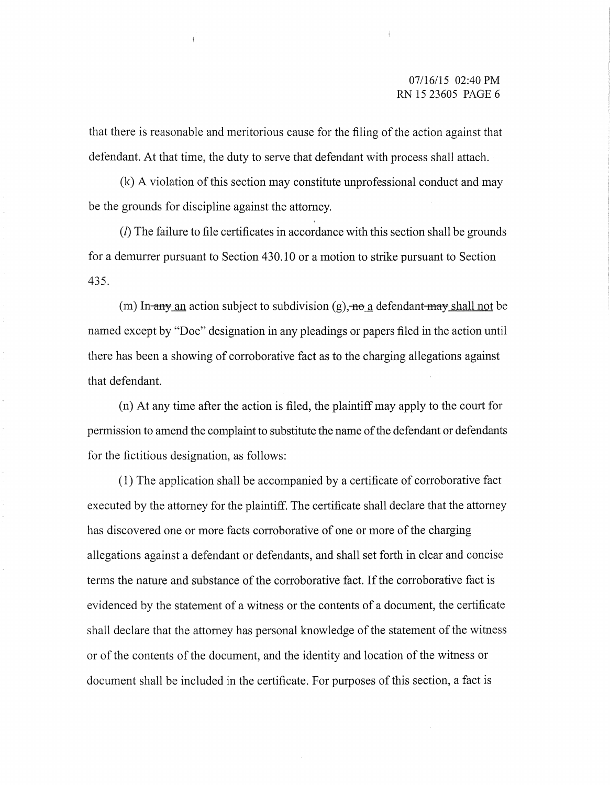that there is reasonable and meritorious cause for the filing of the action against that defendant. At that time, the duty to serve that defendant with process shall attach.

 $\overline{1}$ 

(k) A violation of this section may constitute unprofessional conduct and may be the grounds for discipline against the attorney.

 $(l)$  The failure to file certificates in accordance with this section shall be grounds for a demurrer pursuant to Section 430.10 or a motion to strike pursuant to Section 435.

(m) In-any an action subject to subdivision (g), no a defendant-may shall not be named except by "Doe" designation in any pleadings or papers filed in the action until there has been a showing of corroborative fact as to the charging allegations against that defendant.

(n) At any time after the action is filed, the plaintiff may apply to the court for permission to amend the complaint to substitute the name of the defendant or defendants for the fictitious designation, as follows:

( 1) The application shall be accompanied by a certificate of corroborative fact executed by the attorney for the plaintiff. The certificate shall declare that the attorney has discovered one or more facts corroborative of one or more of the charging allegations against a defendant or defendants, and shall set forth in clear and concise terms the nature and substance of the corroborative fact. If the corroborative fact is evidenced by the statement of a witness or the contents of a document, the certificate shall declare that the attorney has personal knowledge of the statement of the witness or of the contents of the document, and the identity and location of the witness or document shall be included in the certificate. For purposes of this section, a fact is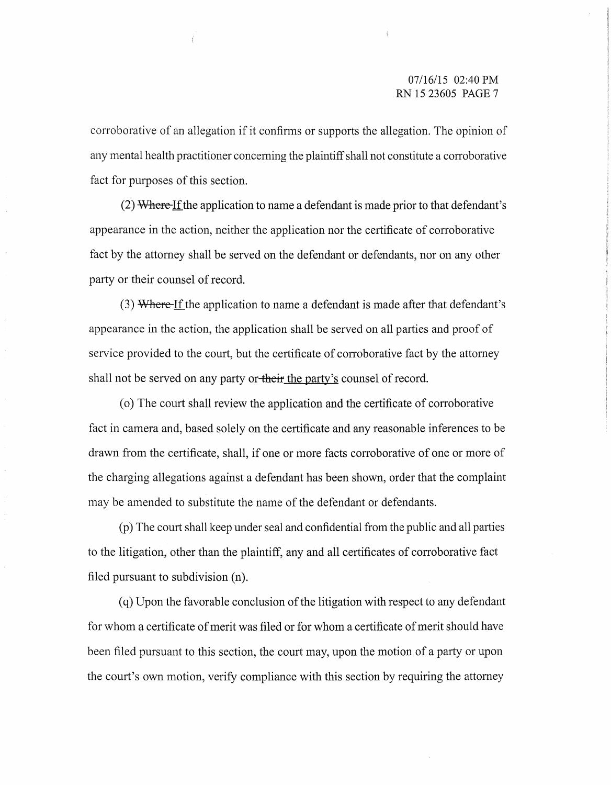corroborative of an allegation if it confinns or supports the allegation. The opinion of any mental health practitioner concerning the plaintiff shall not constitute a corroborative fact for purposes of this section.

 $(2)$  Where If the application to name a defendant is made prior to that defendant's appearance in the action, neither the application nor the certificate of corroborative fact by the attorney shall be served on the defendant or defendants, nor on any other party or their counsel of record.

(3) Where-If the application to name a defendant is made after that defendant's appearance in the action, the application shall be served on all parties and proof of service provided to the court, but the certificate of corroborative fact by the attorney shall not be served on any party or their the party's counsel of record.

( o) The court shall review the application and the certificate of corroborative fact in camera and, based solely on the certificate and any reasonable inferences to be drawn from the certificate, shall, if one or more facts corroborative of one or more of the charging allegations against a defendant has been shown, order that the complaint may be amended to substitute the name of the defendant or defendants.

(p) The court shall keep under seal and confidential from the public and all parties to the litigation, other than the plaintiff, any and all certificates of corroborative fact filed pursuant to subdivision (n).

( q) Upon the favorable conclusion of the litigation with respect to any defendant for whom a certificate of merit was filed or for whom a certificate of merit should have been filed pursuant to this section, the court may, upon the motion of a party or upon the court's own motion, verify compliance with this section by requiring the attorney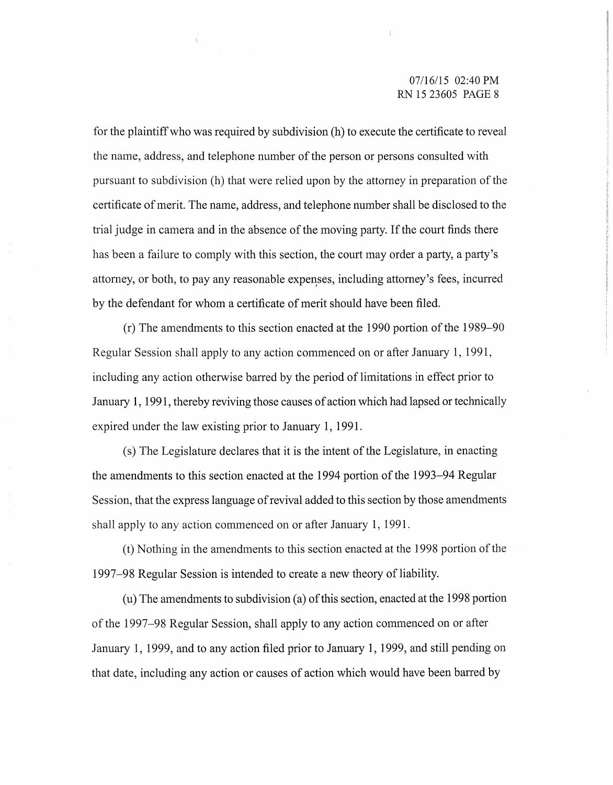for the plaintiff who was required by subdivision (h) to execute the certificate to reveal the name, address, and telephone number of the person or persons consulted with pursuant to subdivision (h) that were relied upon by the attorney in preparation of the certificate of merit. The name, address, and telephone number shall be disclosed to the trial judge in camera and in the absence of the moving party. If the court finds there has been a failure to comply with this section, the court may order a party, a party's attorney, or both, to pay any reasonable expenses, including attorney's fees, incurred by the defendant for whom a certificate of merit should have been filed.

 $\mathfrak{t}^-$ 

(r) The amendments to this section enacted at the 1990 portion of the 1989-90 Regular Session shall apply to any action commenced on or after January 1, 1991, including any action otherwise barred by the period of limitations in effect prior to January 1, 1991, thereby reviving those causes of action which had lapsed or technically expired under the law existing prior to January 1, 1991.

(s) The Legislature declares that it is the intent of the Legislature, in enacting the amendments to this section enacted at the 1994 portion of the 1993-94 Regular Session, that the express language of revival added to this section by those amendments shall apply to any action commenced on or after January 1, 1991.

(t) Nothing in the amendments to this section enacted at the 1998 portion of the 1997–98 Regular Session is intended to create a new theory of liability.

(u) The amendments to subdivision (a) of this section, enacted at the 1998 portion of the 1997-98 Regular Session, shall apply to any action commenced on or after January 1, 1999, and to any action filed prior to January 1, 1999, and still pending on that date, including any action or causes of action which would have been barred by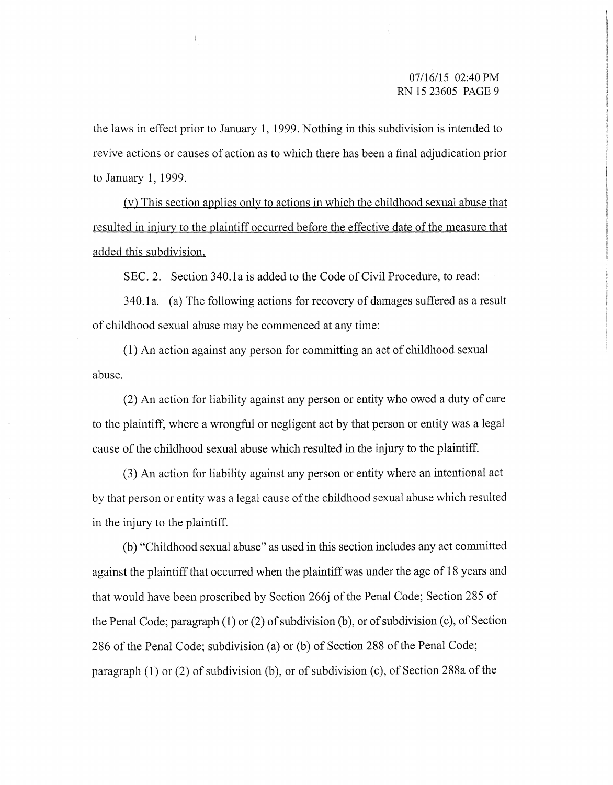the laws in effect prior to January 1, 1999. Nothing in this subdivision is intended to revive actions or causes of action as to which there has been a final adjudication prior to January 1, 1999.

 $\frac{1}{4}$ 

( v) This section applies only to actions in which the childhood sexual abuse that resulted in injury to the plaintiff occurred before the effective date of the measure that added this subdivision.

SEC. 2. Section 340.1a is added to the Code of Civil Procedure, to read:

340.1 a. (a) The following actions for recovery of damages suffered as a result of childhood sexual abuse may be commenced at any time:

( 1) An action against any person for committing an act of childhood sexual abuse.

(2) An action for liability against any person or entity who owed a duty of care to the plaintiff, where a wrongful or negligent act by that person or entity was a legal cause of the childhood sexual abuse which resulted in the injury to the plaintiff.

(3) An action for liability against any person or entity where an intentional act by that person or entity was a legal cause of the childhood sexual abuse which resulted in the injury to the plaintiff.

(b) "Childhood sexual abuse" as used in this section includes any act committed against the plaintiff that occurred when the plaintiff was under the age of 18 years and that would have been proscribed by Section 266j of the Penal Code; Section 285 of the Penal Code; paragraph (1) or (2) of subdivision (b), or of subdivision (c), of Section 286 of the Penal Code; subdivision (a) or (b) of Section 288 of the Penal Code; paragraph ( 1) or (2) of subdivision (b), or of subdivision (c), of Section 288a of the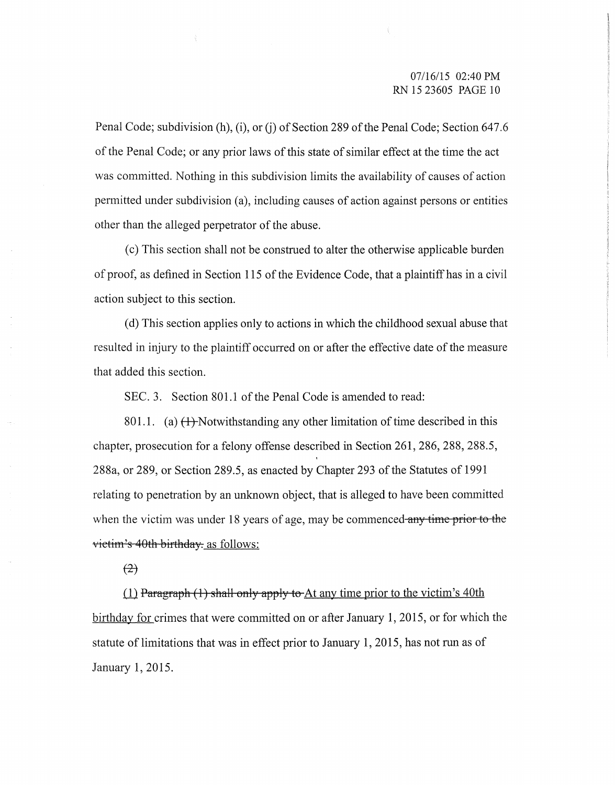Penal Code; subdivision (h), (i), or (j) of Section 289 of the Penal Code; Section 647.6 of the Penal Code; or any prior laws of this state of similar effect at the time the act was committed. Nothing in this subdivision limits the availability of causes of action pennitted under subdivision (a), including causes of action against persons or entities other than the alleged perpetrator of the abuse.

÷

(c) This section shall not be construed to alter the otherwise applicable burden of proof, as defined in Section 115 of the Evidence Code, that a plaintiff has in a civil action subject to this section.

(d) This section applies only to actions in which the childhood sexual abuse that resulted in injury to the plaintiff occurred on or after the effective date of the measure that added this section.

SEC. 3. Section 801.1 of the Penal Code is amended to read:

801.1. (a)  $(1)$  Notwithstanding any other limitation of time described in this chapter, prosecution for a felony offense described in Section 261, 286, 288, 288.5, 288a, or 289, or Section 289.5, as enacted by Chapter 293 of the Statutes of 1991 relating to penetration by an unknown object, that is alleged to have been committed when the victim was under 18 years of age, may be commenced any time prior to the vietim's 40th birthday. as follows:

 $(2)$ 

 $(1)$  Paragraph (1) shall only apply to At any time prior to the victim's 40th birthday for crimes that were committed on or after January 1, 2015, or for which the statute of limitations that was in effect prior to January 1, 2015, has not run as of January 1, 2015.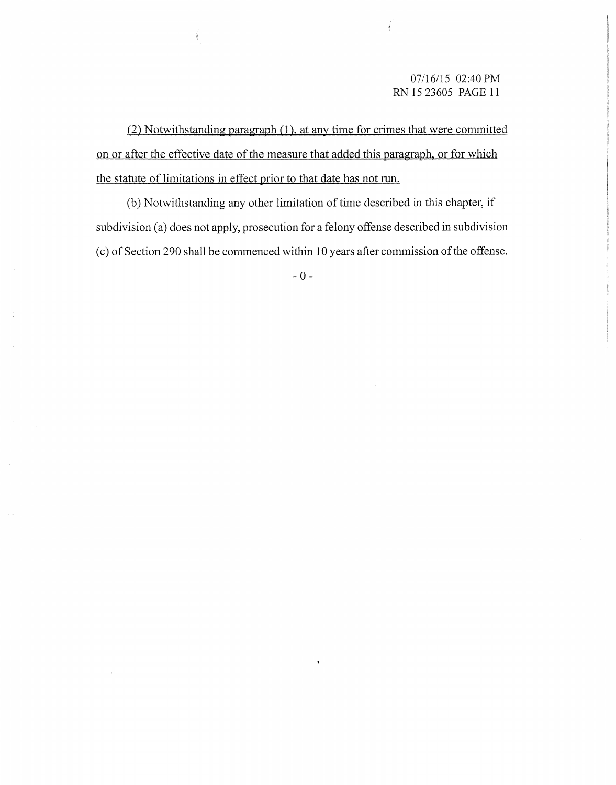(2) Notwithstanding paragraph (1), at any time for crimes that were committed on or after the effective date of the measure that added this paragraph, or for which the statute of limitations in effect prior to that date has not run.

(b) Notwithstanding any other limitation of time described in this chapter, if subdivision (a) does not apply, prosecution for a felony offense described in subdivision (c) of Section 290 shall be commenced within 10 years after commission of the offense.

- 0-